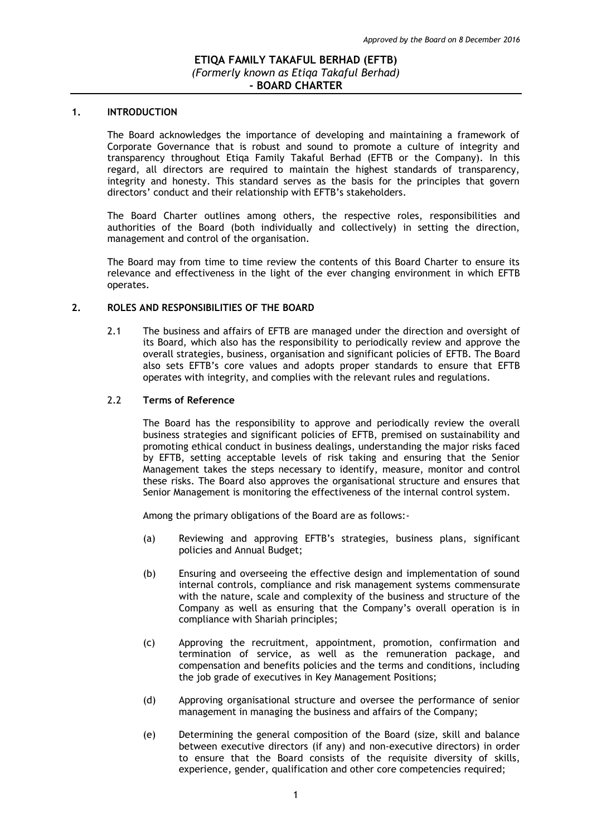#### **1. INTRODUCTION**

The Board acknowledges the importance of developing and maintaining a framework of Corporate Governance that is robust and sound to promote a culture of integrity and transparency throughout Etiqa Family Takaful Berhad (EFTB or the Company). In this regard, all directors are required to maintain the highest standards of transparency, integrity and honesty. This standard serves as the basis for the principles that govern directors' conduct and their relationship with EFTB's stakeholders.

The Board Charter outlines among others, the respective roles, responsibilities and authorities of the Board (both individually and collectively) in setting the direction, management and control of the organisation.

The Board may from time to time review the contents of this Board Charter to ensure its relevance and effectiveness in the light of the ever changing environment in which EFTB operates.

## **2. ROLES AND RESPONSIBILITIES OF THE BOARD**

2.1 The business and affairs of EFTB are managed under the direction and oversight of its Board, which also has the responsibility to periodically review and approve the overall strategies, business, organisation and significant policies of EFTB. The Board also sets EFTB's core values and adopts proper standards to ensure that EFTB operates with integrity, and complies with the relevant rules and regulations.

## 2.2 **Terms of Reference**

The Board has the responsibility to approve and periodically review the overall business strategies and significant policies of EFTB, premised on sustainability and promoting ethical conduct in business dealings, understanding the major risks faced by EFTB, setting acceptable levels of risk taking and ensuring that the Senior Management takes the steps necessary to identify, measure, monitor and control these risks. The Board also approves the organisational structure and ensures that Senior Management is monitoring the effectiveness of the internal control system.

Among the primary obligations of the Board are as follows:-

- (a) Reviewing and approving EFTB's strategies, business plans, significant policies and Annual Budget;
- (b) Ensuring and overseeing the effective design and implementation of sound internal controls, compliance and risk management systems commensurate with the nature, scale and complexity of the business and structure of the Company as well as ensuring that the Company's overall operation is in compliance with Shariah principles;
- (c) Approving the recruitment, appointment, promotion, confirmation and termination of service, as well as the remuneration package, and compensation and benefits policies and the terms and conditions, including the job grade of executives in Key Management Positions;
- (d) Approving organisational structure and oversee the performance of senior management in managing the business and affairs of the Company;
- (e) Determining the general composition of the Board (size, skill and balance between executive directors (if any) and non-executive directors) in order to ensure that the Board consists of the requisite diversity of skills, experience, gender, qualification and other core competencies required;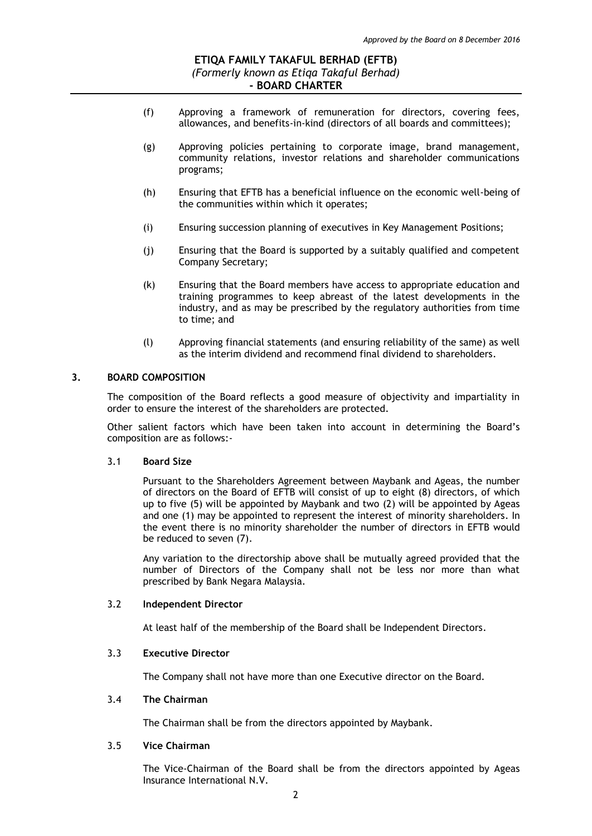- (f) Approving a framework of remuneration for directors, covering fees, allowances, and benefits-in-kind (directors of all boards and committees);
- (g) Approving policies pertaining to corporate image, brand management, community relations, investor relations and shareholder communications programs;
- (h) Ensuring that EFTB has a beneficial influence on the economic well-being of the communities within which it operates;
- (i) Ensuring succession planning of executives in Key Management Positions;
- (j) Ensuring that the Board is supported by a suitably qualified and competent Company Secretary;
- (k) Ensuring that the Board members have access to appropriate education and training programmes to keep abreast of the latest developments in the industry, and as may be prescribed by the regulatory authorities from time to time; and
- (l) Approving financial statements (and ensuring reliability of the same) as well as the interim dividend and recommend final dividend to shareholders.

# **3. BOARD COMPOSITION**

The composition of the Board reflects a good measure of objectivity and impartiality in order to ensure the interest of the shareholders are protected.

Other salient factors which have been taken into account in determining the Board's composition are as follows:-

## 3.1 **Board Size**

Pursuant to the Shareholders Agreement between Maybank and Ageas, the number of directors on the Board of EFTB will consist of up to eight (8) directors, of which up to five (5) will be appointed by Maybank and two (2) will be appointed by Ageas and one (1) may be appointed to represent the interest of minority shareholders. In the event there is no minority shareholder the number of directors in EFTB would be reduced to seven (7).

Any variation to the directorship above shall be mutually agreed provided that the number of Directors of the Company shall not be less nor more than what prescribed by Bank Negara Malaysia.

## 3.2 **Independent Director**

At least half of the membership of the Board shall be Independent Directors.

## 3.3 **Executive Director**

The Company shall not have more than one Executive director on the Board.

## 3.4 **The Chairman**

The Chairman shall be from the directors appointed by Maybank.

## 3.5 **Vice Chairman**

The Vice-Chairman of the Board shall be from the directors appointed by Ageas Insurance International N.V.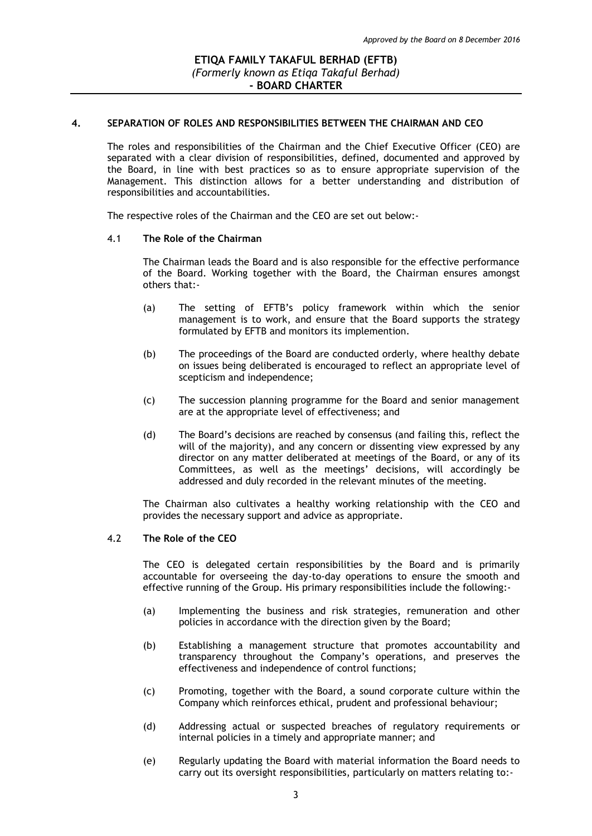## **4. SEPARATION OF ROLES AND RESPONSIBILITIES BETWEEN THE CHAIRMAN AND CEO**

The roles and responsibilities of the Chairman and the Chief Executive Officer (CEO) are separated with a clear division of responsibilities, defined, documented and approved by the Board, in line with best practices so as to ensure appropriate supervision of the Management. This distinction allows for a better understanding and distribution of responsibilities and accountabilities.

The respective roles of the Chairman and the CEO are set out below:-

#### 4.1 **The Role of the Chairman**

The Chairman leads the Board and is also responsible for the effective performance of the Board. Working together with the Board, the Chairman ensures amongst others that:-

- (a) The setting of EFTB's policy framework within which the senior management is to work, and ensure that the Board supports the strategy formulated by EFTB and monitors its implemention.
- (b) The proceedings of the Board are conducted orderly, where healthy debate on issues being deliberated is encouraged to reflect an appropriate level of scepticism and independence;
- (c) The succession planning programme for the Board and senior management are at the appropriate level of effectiveness; and
- (d) The Board's decisions are reached by consensus (and failing this, reflect the will of the majority), and any concern or dissenting view expressed by any director on any matter deliberated at meetings of the Board, or any of its Committees, as well as the meetings' decisions, will accordingly be addressed and duly recorded in the relevant minutes of the meeting.

The Chairman also cultivates a healthy working relationship with the CEO and provides the necessary support and advice as appropriate.

# 4.2 **The Role of the CEO**

The CEO is delegated certain responsibilities by the Board and is primarily accountable for overseeing the day-to-day operations to ensure the smooth and effective running of the Group. His primary responsibilities include the following:-

- (a) Implementing the business and risk strategies, remuneration and other policies in accordance with the direction given by the Board;
- (b) Establishing a management structure that promotes accountability and transparency throughout the Company's operations, and preserves the effectiveness and independence of control functions;
- (c) Promoting, together with the Board, a sound corporate culture within the Company which reinforces ethical, prudent and professional behaviour;
- (d) Addressing actual or suspected breaches of regulatory requirements or internal policies in a timely and appropriate manner; and
- (e) Regularly updating the Board with material information the Board needs to carry out its oversight responsibilities, particularly on matters relating to:-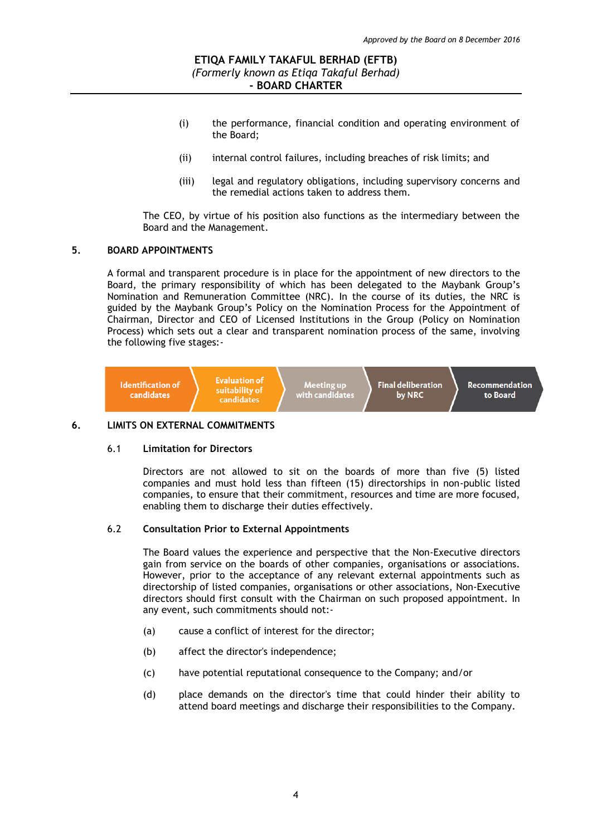- (i) the performance, financial condition and operating environment of the Board;
- (ii) internal control failures, including breaches of risk limits; and
- (iii) legal and regulatory obligations, including supervisory concerns and the remedial actions taken to address them.

The CEO, by virtue of his position also functions as the intermediary between the Board and the Management.

# **5. BOARD APPOINTMENTS**

A formal and transparent procedure is in place for the appointment of new directors to the Board, the primary responsibility of which has been delegated to the Maybank Group's Nomination and Remuneration Committee (NRC). In the course of its duties, the NRC is guided by the Maybank Group's Policy on the Nomination Process for the Appointment of Chairman, Director and CEO of Licensed Institutions in the Group (Policy on Nomination Process) which sets out a clear and transparent nomination process of the same, involving the following five stages:-



## **6. LIMITS ON EXTERNAL COMMITMENTS**

## 6.1 **Limitation for Directors**

Directors are not allowed to sit on the boards of more than five (5) listed companies and must hold less than fifteen (15) directorships in non-public listed companies, to ensure that their commitment, resources and time are more focused, enabling them to discharge their duties effectively.

## 6.2 **Consultation Prior to External Appointments**

The Board values the experience and perspective that the Non-Executive directors gain from service on the boards of other companies, organisations or associations. However, prior to the acceptance of any relevant external appointments such as directorship of listed companies, organisations or other associations, Non-Executive directors should first consult with the Chairman on such proposed appointment. In any event, such commitments should not:-

- (a) cause a conflict of interest for the director;
- (b) affect the director's independence;
- (c) have potential reputational consequence to the Company; and/or
- (d) place demands on the director's time that could hinder their ability to attend board meetings and discharge their responsibilities to the Company.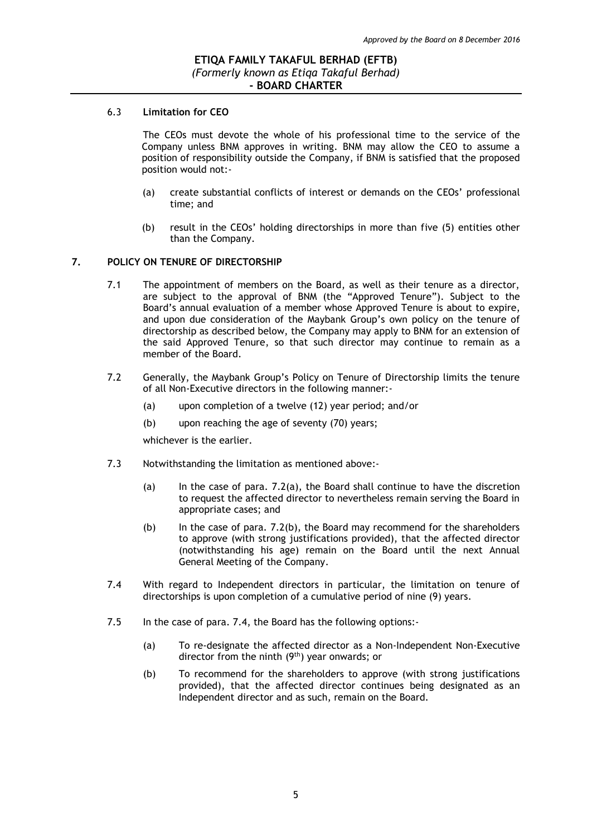### 6.3 **Limitation for CEO**

The CEOs must devote the whole of his professional time to the service of the Company unless BNM approves in writing. BNM may allow the CEO to assume a position of responsibility outside the Company, if BNM is satisfied that the proposed position would not:-

- (a) create substantial conflicts of interest or demands on the CEOs' professional time; and
- (b) result in the CEOs' holding directorships in more than five (5) entities other than the Company.

# **7. POLICY ON TENURE OF DIRECTORSHIP**

- 7.1 The appointment of members on the Board, as well as their tenure as a director, are subject to the approval of BNM (the "Approved Tenure"). Subject to the Board's annual evaluation of a member whose Approved Tenure is about to expire, and upon due consideration of the Maybank Group's own policy on the tenure of directorship as described below, the Company may apply to BNM for an extension of the said Approved Tenure, so that such director may continue to remain as a member of the Board.
- 7.2 Generally, the Maybank Group's Policy on Tenure of Directorship limits the tenure of all Non-Executive directors in the following manner:-
	- (a) upon completion of a twelve (12) year period; and/or
	- (b) upon reaching the age of seventy (70) years;

whichever is the earlier.

- 7.3 Notwithstanding the limitation as mentioned above:-
	- (a) In the case of para. 7.2(a), the Board shall continue to have the discretion to request the affected director to nevertheless remain serving the Board in appropriate cases; and
	- (b) In the case of para. 7.2(b), the Board may recommend for the shareholders to approve (with strong justifications provided), that the affected director (notwithstanding his age) remain on the Board until the next Annual General Meeting of the Company.
- 7.4 With regard to Independent directors in particular, the limitation on tenure of directorships is upon completion of a cumulative period of nine (9) years.
- 7.5 In the case of para. 7.4, the Board has the following options:-
	- (a) To re-designate the affected director as a Non-Independent Non-Executive director from the ninth (9<sup>th</sup>) year onwards; or
	- (b) To recommend for the shareholders to approve (with strong justifications provided), that the affected director continues being designated as an Independent director and as such, remain on the Board.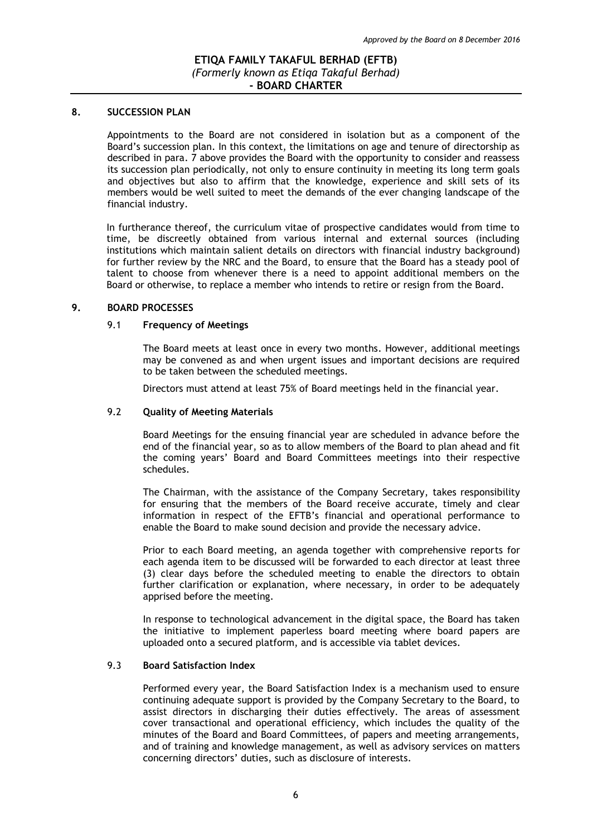#### **8. SUCCESSION PLAN**

Appointments to the Board are not considered in isolation but as a component of the Board's succession plan. In this context, the limitations on age and tenure of directorship as described in para. 7 above provides the Board with the opportunity to consider and reassess its succession plan periodically, not only to ensure continuity in meeting its long term goals and objectives but also to affirm that the knowledge, experience and skill sets of its members would be well suited to meet the demands of the ever changing landscape of the financial industry.

In furtherance thereof, the curriculum vitae of prospective candidates would from time to time, be discreetly obtained from various internal and external sources (including institutions which maintain salient details on directors with financial industry background) for further review by the NRC and the Board, to ensure that the Board has a steady pool of talent to choose from whenever there is a need to appoint additional members on the Board or otherwise, to replace a member who intends to retire or resign from the Board.

#### **9. BOARD PROCESSES**

#### 9.1 **Frequency of Meetings**

The Board meets at least once in every two months. However, additional meetings may be convened as and when urgent issues and important decisions are required to be taken between the scheduled meetings.

Directors must attend at least 75% of Board meetings held in the financial year.

## 9.2 **Quality of Meeting Materials**

Board Meetings for the ensuing financial year are scheduled in advance before the end of the financial year, so as to allow members of the Board to plan ahead and fit the coming years' Board and Board Committees meetings into their respective schedules.

The Chairman, with the assistance of the Company Secretary, takes responsibility for ensuring that the members of the Board receive accurate, timely and clear information in respect of the EFTB's financial and operational performance to enable the Board to make sound decision and provide the necessary advice.

Prior to each Board meeting, an agenda together with comprehensive reports for each agenda item to be discussed will be forwarded to each director at least three (3) clear days before the scheduled meeting to enable the directors to obtain further clarification or explanation, where necessary, in order to be adequately apprised before the meeting.

In response to technological advancement in the digital space, the Board has taken the initiative to implement paperless board meeting where board papers are uploaded onto a secured platform, and is accessible via tablet devices.

# 9.3 **Board Satisfaction Index**

Performed every year, the Board Satisfaction Index is a mechanism used to ensure continuing adequate support is provided by the Company Secretary to the Board, to assist directors in discharging their duties effectively. The areas of assessment cover transactional and operational efficiency, which includes the quality of the minutes of the Board and Board Committees, of papers and meeting arrangements, and of training and knowledge management, as well as advisory services on matters concerning directors' duties, such as disclosure of interests.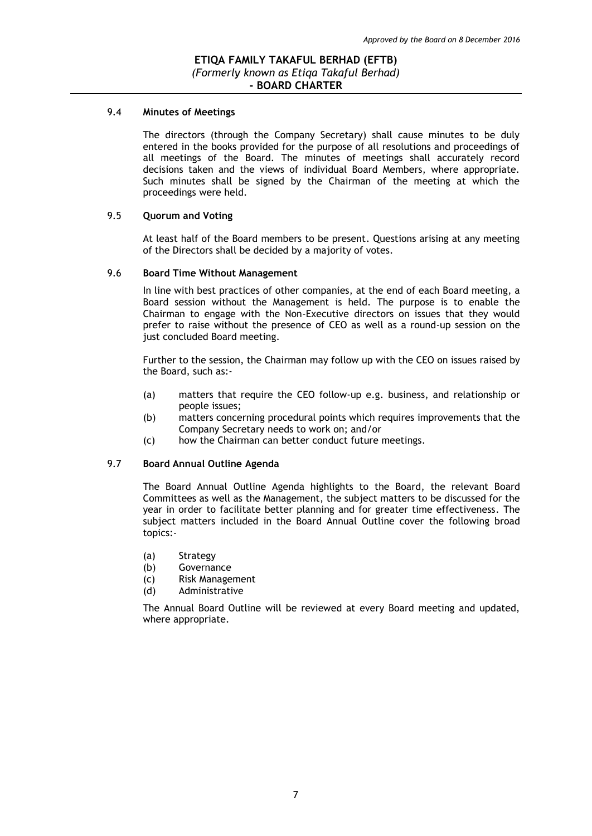#### 9.4 **Minutes of Meetings**

The directors (through the Company Secretary) shall cause minutes to be duly entered in the books provided for the purpose of all resolutions and proceedings of all meetings of the Board. The minutes of meetings shall accurately record decisions taken and the views of individual Board Members, where appropriate. Such minutes shall be signed by the Chairman of the meeting at which the proceedings were held.

## 9.5 **Quorum and Voting**

At least half of the Board members to be present. Questions arising at any meeting of the Directors shall be decided by a majority of votes.

#### 9.6 **Board Time Without Management**

In line with best practices of other companies, at the end of each Board meeting, a Board session without the Management is held. The purpose is to enable the Chairman to engage with the Non-Executive directors on issues that they would prefer to raise without the presence of CEO as well as a round-up session on the just concluded Board meeting.

Further to the session, the Chairman may follow up with the CEO on issues raised by the Board, such as:-

- (a) matters that require the CEO follow-up e.g. business, and relationship or people issues;
- (b) matters concerning procedural points which requires improvements that the Company Secretary needs to work on; and/or
- (c) how the Chairman can better conduct future meetings.

# 9.7 **Board Annual Outline Agenda**

The Board Annual Outline Agenda highlights to the Board, the relevant Board Committees as well as the Management, the subject matters to be discussed for the year in order to facilitate better planning and for greater time effectiveness. The subject matters included in the Board Annual Outline cover the following broad topics:-

- (a) Strategy
- (b) Governance
- (c) Risk Management
- (d) Administrative

The Annual Board Outline will be reviewed at every Board meeting and updated, where appropriate.